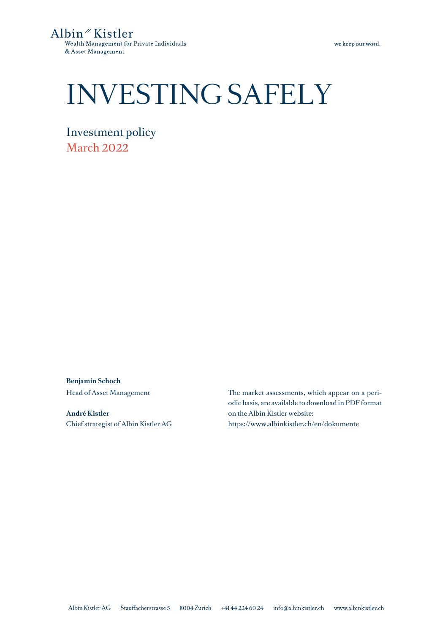Albin<sup>"</sup> Kistler Wealth Management for Private Individuals & Asset Management

# INVESTING SAFELY

Investment policy March 2022

**Benjamin Schoch** Head of Asset Management

**André Kistler** Chief strategist of Albin Kistler AG The market assessments, which appear on a periodic basis, are available to download in PDF format on the Albin Kistler website: https://www.albinkistler.ch/en/dokumente